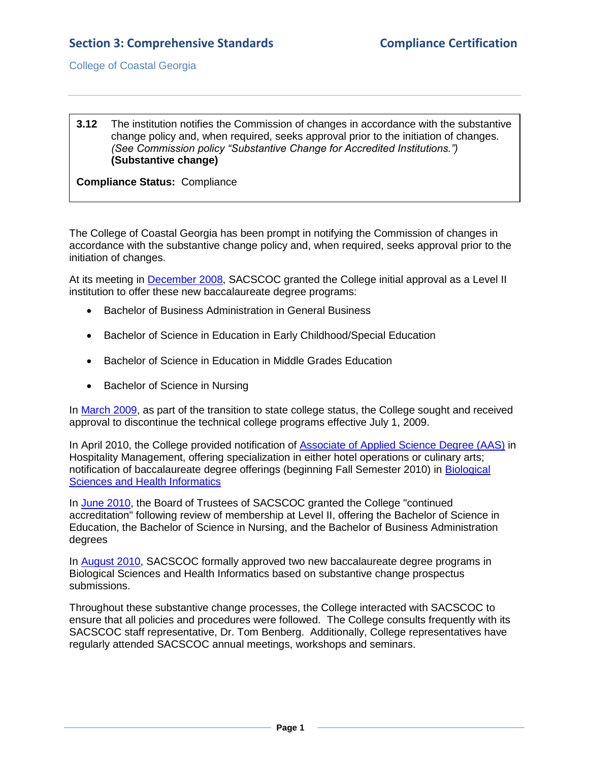College of Coastal Georgia

## **3.12** The institution notifies the Commission of changes in accordance with the substantive change policy and, when required, seeks approval prior to the initiation of changes. *(See Commission policy "Substantive Change for Accredited Institutions.")* **(Substantive change)**

**Compliance Status:** Compliance

The College of Coastal Georgia has been prompt in notifying the Commission of changes in accordance with the substantive change policy and, when required, seeks approval prior to the initiation of changes.

At its meeting in [December 2008,](2.1.fSACSCOCJan2009levelIIlapprov.pdf#page=1) SACSCOC granted the College initial approval as a Level II institution to offer these new baccalaureate degree programs:

- Bachelor of Business Administration in General Business
- Bachelor of Science in Education in Early Childhood/Special Education
- Bachelor of Science in Education in Middle Grades Education
- Bachelor of Science in Nursing

In [March 2009,](2.1.gUSGBORmar2009discontinuetech.pdf#page=1) as part of the transition to state college status, the College sought and received approval to discontinue the technical college programs effective July 1, 2009.

In April 2010, the College provided notification of [Associate of Applied Science Degree \(AAS\)](3.12.cSACSCOCaas.pdf#page=1) in Hospitality Management, offering specialization in either hotel operations or culinary arts; notification of baccalaureate degree offerings (beginning Fall Semester 2010) in [Biological](3.12.cUSGBORletterHealthInfo&Bio.pdf#page=1)  [Sciences and Health Informatics](3.12.cUSGBORletterHealthInfo&Bio.pdf#page=1)

In [June 2010,](2.1.kSACSCOCjuly2010continuedaccreditation.pdf#page=1) the Board of Trustees of SACSCOC granted the College "continued accreditation" following review of membership at Level II, offering the Bachelor of Science in Education, the Bachelor of Science in Nursing, and the Bachelor of Business Administration degrees

In [August 2010,](2.1.jSACSCOCapprovalofbiosci&heainfor.pdf#page=1) SACSCOC formally approved two new baccalaureate degree programs in Biological Sciences and Health Informatics based on substantive change prospectus submissions.

Throughout these substantive change processes, the College interacted with SACSCOC to ensure that all policies and procedures were followed. The College consults frequently with its SACSCOC staff representative, Dr. Tom Benberg. Additionally, College representatives have regularly attended SACSCOC annual meetings, workshops and seminars.